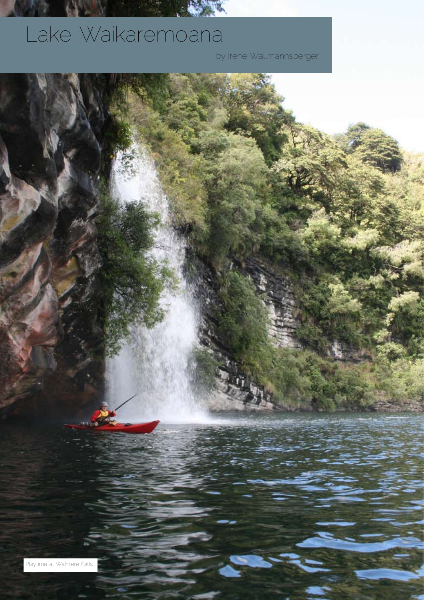## Lake Waikaremoana

by Irene Wallmannsberger

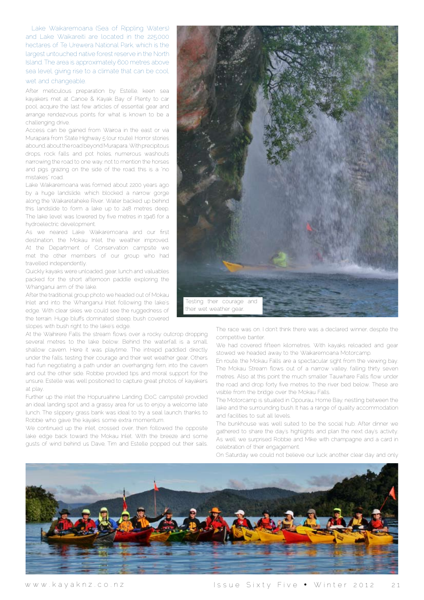Lake Waikaremoana (Sea of Rippling Waters) and Lake Waikareiti are located in the 225,000 hectares of Te Urewera National Park, which is the largest untouched native forest reserve in the North Island. The area is approximately 600 metres above sea level, giving rise to a climate that can be cool,

wet and changeable.

After meticulous preparation by Estelle, keen sea kayakers met at Canoe & Kayak Bay of Plenty to car pool, acquire the last few articles of essential gear and arrange rendezvous points for what is known to be a challenging drive.

Access can be gained from Wairoa in the east or via Murapara from State Highway 5 (our route). Horror stories abound, about the road beyond Murapara. With precipitous drops, rock falls and pot holes, numerous washouts narrowing the road to one way, not to mention the horses and pigs grazing on the side of the road, this is a "no mistakes" road.

Lake Waikaremoana was formed about 2200 years ago by a huge landslide, which blocked a narrow gorge along the Waikaretaheke River. Water backed up behind this landslide to form a lake up to 248 metres deep. The lake level was lowered by five metres in 1946 for a hydroelectric development.

As we neared Lake Waikaremoana and our first destination, the Mokau Inlet, the weather improved. At the Department of Conservation campsite we met the other members of our group who had travelled independently.

Quickly kayaks were unloaded, gear, lunch and valuables packed for the short afternoon paddle exploring the Whanganui arm of the lake.

After the traditional group photo we headed out of Mokau Inlet and into the Whanganui Inlet following the lake's edge. With clear skies we could see the ruggedness of the terrain. Huge bluffs dominated steep, bush covered slopes with bush right to the lake's edge.

At the Waihirere Falls the stream flows over a rocky outcrop dropping several metres to the lake below. Behind the waterfall is a small, shallow cavern. Here it was playtime. The intrepid paddled directly under the falls, testing their courage and their wet weather gear. Others had fun negotiating a path under an overhanging fern, into the cavern and out the other side. Robbie provided tips and moral support for the unsure. Estelle was well positioned to capture great photos of kayakers at play.

Further up the inlet the Hopuruahine Landing (DoC campsite) provided an ideal landing spot and a grassy area for us to enjoy a welcome late lunch. The slippery grass bank was ideal to try a seal launch, thanks to Robbie who gave the kayaks some extra momentum.

We continued up the inlet, crossed over, then followed the opposite lake edge back toward the Mokau Inlet. With the breeze and some gusts of wind behind us Dave, Tim and Estelle popped out their sails.



The race was on. I don't think there was a declared winner, despite the competitive banter.

We had covered fifteen kilometres. With kayaks reloaded and gear stowed we headed away to the Waikaremoana Motorcamp.

En route, the Mokau Falls are a spectacular sight from the viewing bay. The Mokau Stream flows out of a narrow valley, falling thirty seven metres. Also at this point the much smaller Tauwhare Falls flow under the road and drop forty five metres to the river bed below. These are visible from the bridge over the Mokau Falls.

The Motorcamp is situated in Opourau, Home Bay, nestling between the lake and the surrounding bush. It has a range of quality accommodation and facilities to suit all levels.

The bunkhouse was well suited to be the social hub. After dinner we gathered to share the day's highlights and plan the next day's activity. As well, we surprised Robbie and Mike with champagne and a card in celebration of their engagement.

On Saturday we could not believe our luck; another clear day and only

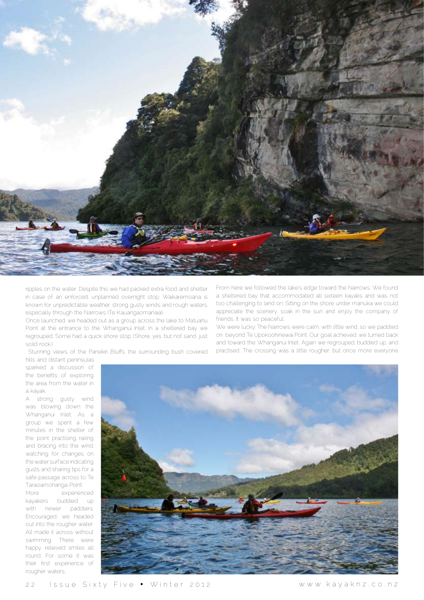

ripples on the water. Despite this we had packed extra food and shelter in case of an enforced, unplanned overnight stop. Waikaremoana is known for unpredictable weather, strong gusty winds and rough waters, especially through the Narrows (Te Kauangaomanaia).

Once launched, we headed out as a group across the lake to Matuahu Point at the entrance to the Whanganui Inlet. In a sheltered bay we regrouped. Some had a quick shore stop. (Shore, yes, but not sand, just solid rock.)

Stunning views of the Panekiri Bluffs, the surrounding bush covered

From here we followed the lake's edge toward the Narrows. We found a sheltered bay that accommodated all sixteen kayaks and was not too challenging to land on. Sitting on the shore under manuka we could appreciate the scenery, soak in the sun and enjoy the company of friends. It was so peaceful.

We were lucky: The Narrows were calm, with little wind, so we paddled on beyond Te Upokoohinewai Point. Our goal achieved, we turned back and toward the Whanganui Inlet. Again we regrouped, buddied up, and practised. The crossing was a little rougher, but once more everyone

hills and distant peninsulas sparked a discussion of the benefits of exploring the area from the water in a kayak.

A strong gusty wind was blowing down the Whanganui Inlet. As a group we spent a few minutes in the shelter of the point practising railing and bracing into the wind, watching for changes on the water surface indicating gusts and sharing tips for a safe passage across to Te Taraoamohanga Point.

More experienced kayakers buddied up with newer paddlers. Encouraged, we headed out into the rougher water. All made it across without swimming. There were happy, relieved smiles all round. For some it was their first experience of rougher waters.